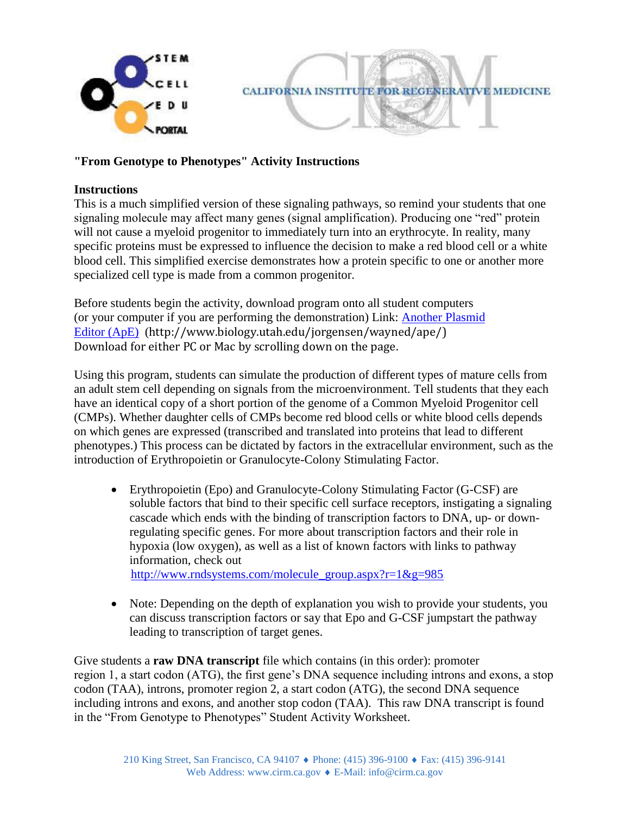

## **"From Genotype to Phenotypes" Activity Instructions**

## **Instructions**

This is a much simplified version of these signaling pathways, so remind your students that one signaling molecule may affect many genes (signal amplification). Producing one "red" protein will not cause a myeloid progenitor to immediately turn into an erythrocyte. In reality, many specific proteins must be expressed to influence the decision to make a red blood cell or a white blood cell. This simplified exercise demonstrates how a protein specific to one or another more specialized cell type is made from a common progenitor.

Before students begin the activity, download program onto all student computers (or your computer if you are performing the demonstration) Link: [Another Plasmid](http://www.biology.utah.edu/jorgensen/wayned/ape/) [Editor \(ApE\)](http://www.biology.utah.edu/jorgensen/wayned/ape/) (http://www.biology.utah.edu/jorgensen/wayned/ape/) Download for either PC or Mac by scrolling down on the page.

Using this program, students can simulate the production of different types of mature cells from an adult stem cell depending on signals from the microenvironment. Tell students that they each have an identical copy of a short portion of the genome of a Common Myeloid Progenitor cell (CMPs). Whether daughter cells of CMPs become red blood cells or white blood cells depends on which genes are expressed (transcribed and translated into proteins that lead to different phenotypes.) This process can be dictated by factors in the extracellular environment, such as the introduction of Erythropoietin or Granulocyte-Colony Stimulating Factor.

 Erythropoietin (Epo) and Granulocyte-Colony Stimulating Factor (G-CSF) are soluble factors that bind to their specific cell surface receptors, instigating a signaling cascade which ends with the binding of transcription factors to DNA, up- or downregulating specific genes. For more about transcription factors and their role in hypoxia (low oxygen), as well as a list of known factors with links to pathway information, check out

[http://www.rndsystems.com/molecule\\_group.aspx?r=1&g=985](http://www.rndsystems.com/molecule_group.aspx?r=1&g=985)

• Note: Depending on the depth of explanation you wish to provide your students, you can discuss transcription factors or say that Epo and G-CSF jumpstart the pathway leading to transcription of target genes.

Give students a **raw DNA transcript** file which contains (in this order): promoter region 1, a start codon (ATG), the first gene's DNA sequence including introns and exons, a stop codon (TAA), introns, promoter region 2, a start codon (ATG), the second DNA sequence including introns and exons, and another stop codon (TAA). This raw DNA transcript is found in the "From Genotype to Phenotypes" Student Activity Worksheet.